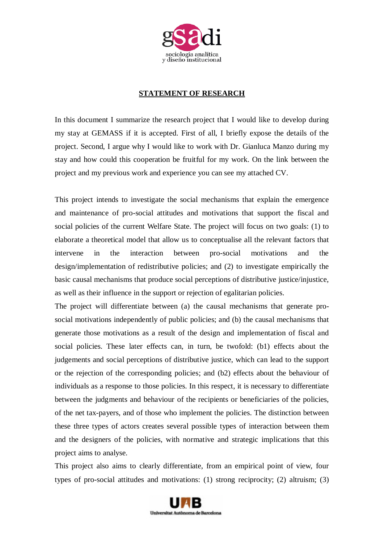

## **STATEMENT OF RESEARCH**

In this document I summarize the research project that I would like to develop during my stay at GEMASS if it is accepted. First of all, I briefly expose the details of the project. Second, I argue why I would like to work with Dr. Gianluca Manzo during my stay and how could this cooperation be fruitful for my work. On the link between the project and my previous work and experience you can see my attached CV.

This project intends to investigate the social mechanisms that explain the emergence and maintenance of pro-social attitudes and motivations that support the fiscal and social policies of the current Welfare State. The project will focus on two goals: (1) to elaborate a theoretical model that allow us to conceptualise all the relevant factors that intervene in the interaction between pro-social motivations and the design/implementation of redistributive policies; and (2) to investigate empirically the basic causal mechanisms that produce social perceptions of distributive justice/injustice, as well as their influence in the support or rejection of egalitarian policies.

The project will differentiate between (a) the causal mechanisms that generate prosocial motivations independently of public policies; and (b) the causal mechanisms that generate those motivations as a result of the design and implementation of fiscal and social policies. These later effects can, in turn, be twofold: (b1) effects about the judgements and social perceptions of distributive justice, which can lead to the support or the rejection of the corresponding policies; and (b2) effects about the behaviour of individuals as a response to those policies. In this respect, it is necessary to differentiate between the judgments and behaviour of the recipients or beneficiaries of the policies, of the net tax-payers, and of those who implement the policies. The distinction between these three types of actors creates several possible types of interaction between them and the designers of the policies, with normative and strategic implications that this project aims to analyse.

This project also aims to clearly differentiate, from an empirical point of view, four types of pro-social attitudes and motivations: (1) strong reciprocity; (2) altruism; (3)